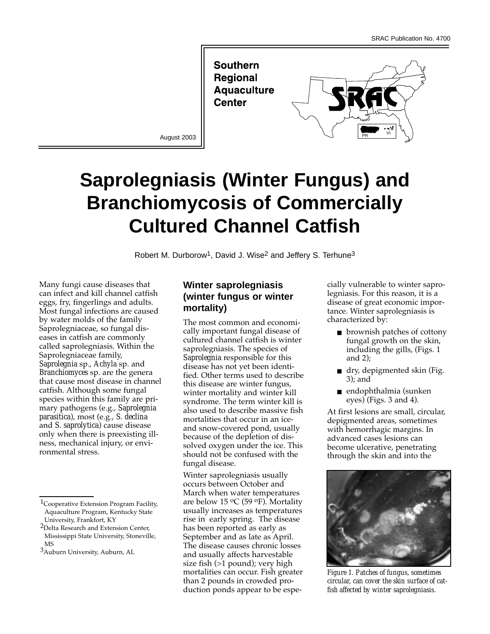**Southern Regional Aquaculture Center** 



August 2003

# **Saprolegniasis (Winter Fungus) and Branchiomycosis of Commercially Cultured Channel Catfish**

Robert M. Durborow<sup>1</sup>, David J. Wise<sup>2</sup> and Jeffery S. Terhune<sup>3</sup>

Many fungi cause diseases that can infect and kill channel catfish eggs, fry, fingerlings and adults. Most fungal infections are caused by water molds of the family Saprolegniaceae, so fungal diseases in catfish are commonly called saprolegniasis. Within the Saprolegniaceae family, *Saprolegnia* sp., *Achyla* sp. and *Branchiomyces* sp. are the genera that cause most disease in channel catfish. Although some fungal species within this family are primary pathogens (e.g., *Saprolegnia parasitica*), most (e.g., *S. declina* and *S. saprolytica*) cause disease only when there is preexisting illness, mechanical injury, or environmental stress.

## **Winter saprolegniasis (winter fungus or winter mortality)**

The most common and economically important fungal disease of cultured channel catfish is winter saprolegniasis. The species of *Saprolegnia* responsible for this disease has not yet been identified. Other terms used to describe this disease are winter fungus, winter mortality and winter kill syndrome. The term winter kill is also used to describe massive fish mortalities that occur in an iceand snow-covered pond, usually because of the depletion of dissolved oxygen under the ice. This should not be confused with the fungal disease.

Winter saprolegniasis usually occurs between October and March when water temperatures are below 15  $\rm ^{o}C$  (59  $\rm ^{o}F$ ). Mortality usually increases as temperatures rise in early spring. The disease has been reported as early as September and as late as April. The disease causes chronic losses and usually affects harvestable size fish (>1 pound); very high mortalities can occur. Fish greater than 2 pounds in crowded production ponds appear to be especially vulnerable to winter saprolegniasis. For this reason, it is a disease of great economic importance. Winter saprolegniasis is characterized by:

- brownish patches of cottony fungal growth on the skin, including the gills, (Figs. 1 and 2);
- dry, depigmented skin (Fig. 3); and
- endophthalmia (sunken  $eyes)$  (Figs. 3 and 4).

At first lesions are small, circular, depigmented areas, sometimes with hemorrhagic margins. In advanced cases lesions can become ulcerative, penetrating through the skin and into the



*Figure 1. Patches of fungus, sometimes circular, can cover the skin surface of catfish affected by winter saprolegniasis.*

<sup>1</sup>Cooperative Extension Program Facility, Aquaculture Program, Kentucky State University, Frankfort, KY

<sup>2</sup>Delta Research and Extension Center, Mississippi State University, Stoneville, MS

<sup>3</sup>Auburn University, Auburn, AL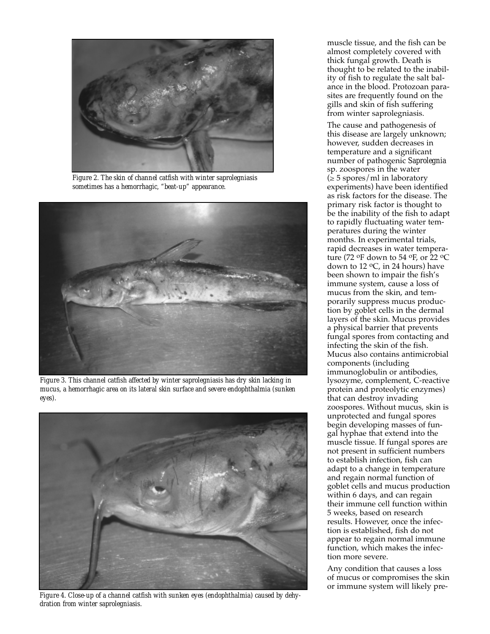

*Figure 2. The skin of channel catfish with winter saprolegniasis sometimes has a hemorrhagic, "beat-up" appearance.*



*Figure 3. This channel catfish affected by winter saprolegniasis has dry skin lacking in mucus, a hemorrhagic area on its lateral skin surface and severe endophthalmia (sunken eyes).*



*Figure 4. Close-up of a channel catfish with sunken eyes (endophthalmia) caused by dehydration from winter saprolegniasis.*

muscle tissue, and the fish can be almost completely covered with thick fungal growth. Death is thought to be related to the inability of fish to regulate the salt balance in the blood. Protozoan parasites are frequently found on the gills and skin of fish suffering from winter saprolegniasis.

The cause and pathogenesis of this disease are largely unknown; however, sudden decreases in temperature and a significant number of pathogenic *Saprolegnia* sp. zoospores in the water  $(\geq 5$  spores/ml in laboratory experiments) have been identified as risk factors for the disease. The primary risk factor is thought to be the inability of the fish to adapt to rapidly fluctuating water temperatures during the winter months. In experimental trials, rapid decreases in water temperature (72 oF down to 54 oF, or 22 oC down to 12 oC, in 24 hours) have been shown to impair the fish's immune system, cause a loss of mucus from the skin, and temporarily suppress mucus production by goblet cells in the dermal layers of the skin. Mucus provides a physical barrier that prevents fungal spores from contacting and infecting the skin of the fish. Mucus also contains antimicrobial components (including immunoglobulin or antibodies, lysozyme, complement, C-reactive protein and proteolytic enzymes) that can destroy invading zoospores. Without mucus, skin is unprotected and fungal spores begin developing masses of fungal hyphae that extend into the muscle tissue. If fungal spores are not present in sufficient numbers to establish infection, fish can adapt to a change in temperature and regain normal function of goblet cells and mucus production within 6 days, and can regain their immune cell function within 5 weeks, based on research results. However, once the infection is established, fish do not appear to regain normal immune function, which makes the infection more severe.

Any condition that causes a loss of mucus or compromises the skin or immune system will likely pre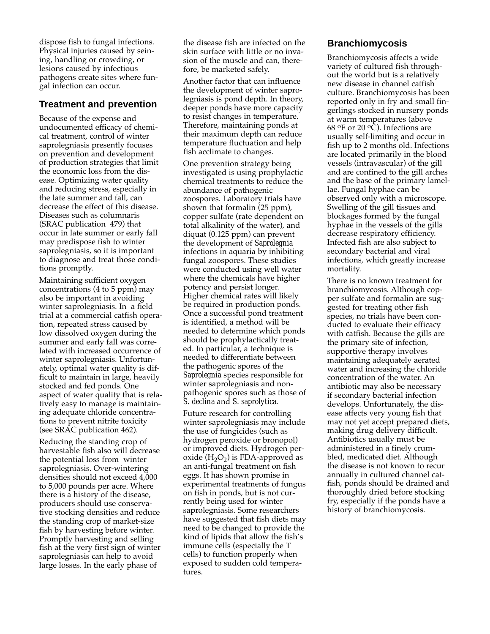dispose fish to fungal infections. Physical injuries caused by seining, handling or crowding, or lesions caused by infectious pathogens create sites where fungal infection can occur.

#### **Treatment and prevention**

Because of the expense and undocumented efficacy of chemical treatment, control of winter saprolegniasis presently focuses on prevention and development of production strategies that limit the economic loss from the disease. Optimizing water quality and reducing stress, especially in the late summer and fall, can decrease the effect of this disease. Diseases such as columnaris (SRAC publication 479) that occur in late summer or early fall may predispose fish to winter saprolegniasis, so it is important to diagnose and treat those conditions promptly.

Maintaining sufficient oxygen concentrations (4 to 5 ppm) may also be important in avoiding winter saprolegniasis. In a field trial at a commercial catfish operation, repeated stress caused by low dissolved oxygen during the summer and early fall was correlated with increased occurrence of winter saprolegniasis. Unfortunately, optimal water quality is difficult to maintain in large, heavily stocked and fed ponds. One aspect of water quality that is relatively easy to manage is maintaining adequate chloride concentrations to prevent nitrite toxicity (see SRAC publication 462).

Reducing the standing crop of harvestable fish also will decrease the potential loss from winter saprolegniasis. Over-wintering densities should not exceed 4,000 to 5,000 pounds per acre. Where there is a history of the disease, producers should use conservative stocking densities and reduce the standing crop of market-size fish by harvesting before winter. Promptly harvesting and selling fish at the very first sign of winter saprolegniasis can help to avoid large losses. In the early phase of

the disease fish are infected on the skin surface with little or no invasion of the muscle and can, therefore, be marketed safely.

Another factor that can influence the development of winter saprolegniasis is pond depth. In theory, deeper ponds have more capacity to resist changes in temperature. Therefore, maintaining ponds at their maximum depth can reduce temperature fluctuation and help fish acclimate to changes.

One prevention strategy being investigated is using prophylactic chemical treatments to reduce the abundance of pathogenic zoospores. Laboratory trials have shown that formalin (25 ppm), copper sulfate (rate dependent on total alkalinity of the water), and diquat (0.125 ppm) can prevent the development of *Saprolegnia* infections in aquaria by inhibiting fungal zoospores. These studies were conducted using well water where the chemicals have higher potency and persist longer. Higher chemical rates will likely be required in production ponds. Once a successful pond treatment is identified, a method will be needed to determine which ponds should be prophylactically treated. In particular, a technique is needed to differentiate between the pathogenic spores of the *Saprolegnia* species responsible for winter saprolegniasis and nonpathogenic spores such as those of *S. declina* and *S. saprolytica*.

Future research for controlling winter saprolegniasis may include the use of fungicides (such as hydrogen peroxide or bronopol) or improved diets. Hydrogen peroxide  $(H_2O_2)$  is FDA-approved as an anti-fungal treatment on fish eggs. It has shown promise in experimental treatments of fungus on fish in ponds, but is not currently being used for winter saprolegniasis. Some researchers have suggested that fish diets may need to be changed to provide the kind of lipids that allow the fish's immune cells (especially the T cells) to function properly when exposed to sudden cold temperatures.

### **Branchiomycosis**

Branchiomycosis affects a wide variety of cultured fish throughout the world but is a relatively new disease in channel catfish culture. Branchiomycosis has been reported only in fry and small fingerlings stocked in nursery ponds at warm temperatures (above 68  $\mathrm{O}$  or 20  $\mathrm{O}$ . Infections are usually self-limiting and occur in fish up to 2 months old. Infections are located primarily in the blood vessels (intravascular) of the gill and are confined to the gill arches and the base of the primary lamellae. Fungal hyphae can be observed only with a microscope. Swelling of the gill tissues and blockages formed by the fungal hyphae in the vessels of the gills decrease respiratory efficiency. Infected fish are also subject to secondary bacterial and viral infections, which greatly increase mortality.

There is no known treatment for branchiomycosis. Although copper sulfate and formalin are suggested for treating other fish species, no trials have been conducted to evaluate their efficacy with catfish. Because the gills are the primary site of infection, supportive therapy involves maintaining adequately aerated water and increasing the chloride concentration of the water. An antibiotic may also be necessary if secondary bacterial infection develops. Unfortunately, the disease affects very young fish that may not yet accept prepared diets, making drug delivery difficult. Antibiotics usually must be administered in a finely crumbled, medicated diet. Although the disease is not known to recur annually in cultured channel catfish, ponds should be drained and thoroughly dried before stocking fry, especially if the ponds have a history of branchiomycosis.